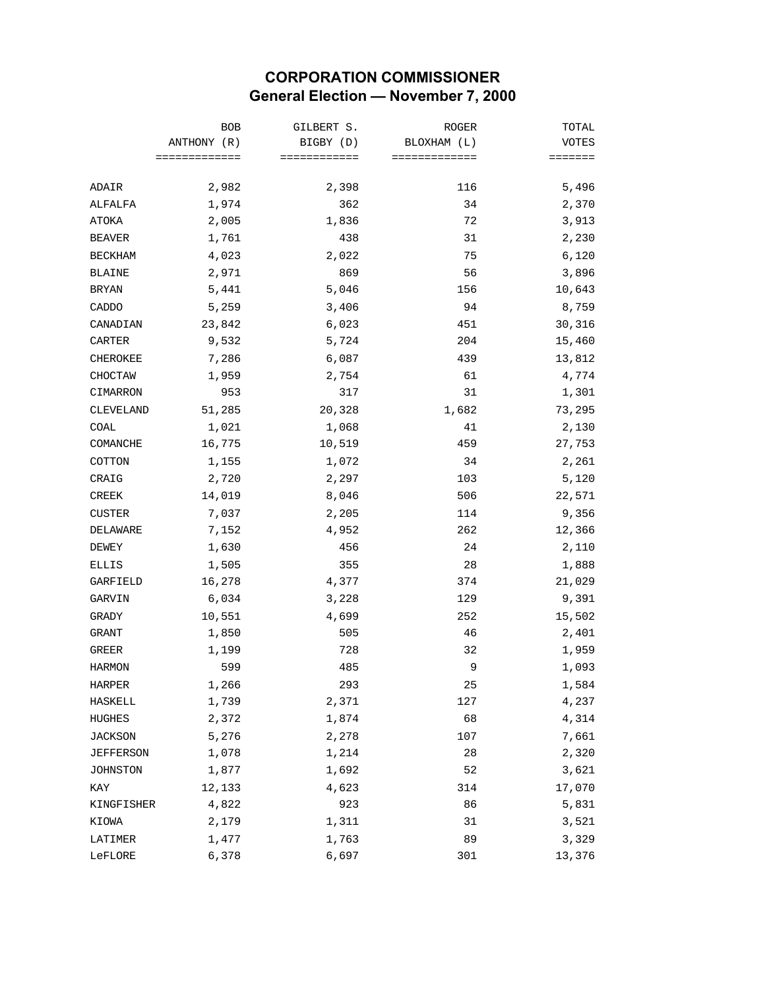## **CORPORATION COMMISSIONER General Election — November 7, 2000**

|                  | <b>BOB</b><br>ANTHONY (R)<br>============= | GILBERT S.<br>BIGBY (D)<br>============ | ROGER<br>BLOXHAM (L)<br>============= | TOTAL   |
|------------------|--------------------------------------------|-----------------------------------------|---------------------------------------|---------|
|                  |                                            |                                         |                                       | VOTES   |
|                  |                                            |                                         |                                       | ======= |
| ADAIR            | 2,982                                      | 2,398                                   | 116                                   | 5,496   |
| ALFALFA          | 1,974                                      | 362                                     | 34                                    | 2,370   |
| ATOKA            | 2,005                                      | 1,836                                   | 72                                    | 3,913   |
| <b>BEAVER</b>    | 1,761                                      | 438                                     | 31                                    | 2,230   |
| <b>BECKHAM</b>   | 4,023                                      | 2,022                                   | 75                                    | 6,120   |
| <b>BLAINE</b>    | 2,971                                      | 869                                     | 56                                    | 3,896   |
| <b>BRYAN</b>     | 5,441                                      | 5,046                                   | 156                                   | 10,643  |
| CADDO            | 5,259                                      | 3,406                                   | 94                                    | 8,759   |
| CANADIAN         | 23,842                                     | 6,023                                   | 451                                   | 30,316  |
| CARTER           | 9,532                                      | 5,724                                   | 204                                   | 15,460  |
| CHEROKEE         | 7,286                                      | 6,087                                   | 439                                   | 13,812  |
| CHOCTAW          | 1,959                                      | 2,754                                   | 61                                    | 4,774   |
| CIMARRON         | 953                                        | 317                                     | 31                                    | 1,301   |
| CLEVELAND        | 51,285                                     | 20,328                                  | 1,682                                 | 73,295  |
| COAL             | 1,021                                      | 1,068                                   | 41                                    | 2,130   |
| COMANCHE         | 16,775                                     | 10,519                                  | 459                                   | 27,753  |
| COTTON           | 1,155                                      | 1,072                                   | 34                                    | 2,261   |
| CRAIG            | 2,720                                      | 2,297                                   | 103                                   | 5,120   |
| <b>CREEK</b>     | 14,019                                     | 8,046                                   | 506                                   | 22,571  |
| <b>CUSTER</b>    | 7,037                                      | 2,205                                   | 114                                   | 9,356   |
| DELAWARE         | 7,152                                      | 4,952                                   | 262                                   | 12,366  |
| DEWEY            | 1,630                                      | 456                                     | 24                                    | 2,110   |
| ELLIS            | 1,505                                      | 355                                     | 28                                    | 1,888   |
| GARFIELD         | 16,278                                     | 4,377                                   | 374                                   | 21,029  |
| GARVIN           | 6,034                                      | 3,228                                   | 129                                   | 9,391   |
| GRADY            | 10,551                                     | 4,699                                   | 252                                   | 15,502  |
| GRANT            | 1,850                                      | 505                                     | 46                                    | 2,401   |
| <b>GREER</b>     | 1,199                                      | 728                                     | 32                                    | 1,959   |
| <b>HARMON</b>    | 599                                        | 485                                     | 9                                     | 1,093   |
| HARPER           | 1,266                                      | 293                                     | 25                                    | 1,584   |
| <b>HASKELL</b>   | 1,739                                      | 2,371                                   | 127                                   | 4,237   |
| HUGHES           | 2,372                                      | 1,874                                   | 68                                    | 4,314   |
| <b>JACKSON</b>   | 5,276                                      | 2,278                                   | 107                                   | 7,661   |
| <b>JEFFERSON</b> | 1,078                                      | 1,214                                   | 28                                    | 2,320   |
| <b>JOHNSTON</b>  | 1,877                                      | 1,692                                   | 52                                    | 3,621   |
| KAY              | 12,133                                     | 4,623                                   | 314                                   | 17,070  |
| KINGFISHER       | 4,822                                      | 923                                     | 86                                    | 5,831   |
| KIOWA            | 2,179                                      | 1,311                                   | 31                                    | 3,521   |
| LATIMER          | 1,477                                      | 1,763                                   | 89                                    | 3,329   |
| LeFLORE          | 6,378                                      | 6,697                                   | 301                                   | 13,376  |